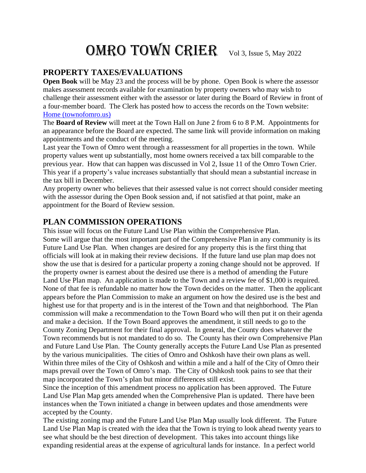# OMRO TOWN CRIER Vol 3, Issue 5, May 2022

#### **PROPERTY TAXES/EVALUATIONS**

**Open Book** will be May 23 and the process will be by phone. Open Book is where the assessor makes assessment records available for examination by property owners who may wish to challenge their assessment either with the assessor or later during the Board of Review in front of a four-member board. The Clerk has posted how to access the records on the Town website: [Home \(townofomro.us\)](https://www.townofomro.us/)

The **Board of Review** will meet at the Town Hall on June 2 from 6 to 8 P.M. Appointments for an appearance before the Board are expected. The same link will provide information on making appointments and the conduct of the meeting.

Last year the Town of Omro went through a reassessment for all properties in the town. While property values went up substantially, most home owners received a tax bill comparable to the previous year. How that can happen was discussed in Vol 2, Issue 11 of the Omro Town Crier. This year if a property's value increases substantially that should mean a substantial increase in the tax bill in December.

Any property owner who believes that their assessed value is not correct should consider meeting with the assessor during the Open Book session and, if not satisfied at that point, make an appointment for the Board of Review session.

#### **PLAN COMMISSION OPERATIONS**

This issue will focus on the Future Land Use Plan within the Comprehensive Plan. Some will argue that the most important part of the Comprehensive Plan in any community is its Future Land Use Plan. When changes are desired for any property this is the first thing that officials will look at in making their review decisions. If the future land use plan map does not show the use that is desired for a particular property a zoning change should not be approved. If the property owner is earnest about the desired use there is a method of amending the Future Land Use Plan map. An application is made to the Town and a review fee of \$1,000 is required. None of that fee is refundable no matter how the Town decides on the matter. Then the applicant appears before the Plan Commission to make an argument on how the desired use is the best and highest use for that property and is in the interest of the Town and that neighborhood. The Plan commission will make a recommendation to the Town Board who will then put it on their agenda and make a decision. If the Town Board approves the amendment, it still needs to go to the County Zoning Department for their final approval. In general, the County does whatever the Town recommends but is not mandated to do so. The County has their own Comprehensive Plan and Future Land Use Plan. The County generally accepts the Future Land Use Plan as presented by the various municipalities. The cities of Omro and Oshkosh have their own plans as well. Within three miles of the City of Oshkosh and within a mile and a half of the City of Omro their maps prevail over the Town of Omro's map. The City of Oshkosh took pains to see that their map incorporated the Town's plan but minor differences still exist.

Since the inception of this amendment process no application has been approved. The Future Land Use Plan Map gets amended when the Comprehensive Plan is updated. There have been instances when the Town initiated a change in between updates and those amendments were accepted by the County.

The existing zoning map and the Future Land Use Plan Map usually look different. The Future Land Use Plan Map is created with the idea that the Town is trying to look ahead twenty years to see what should be the best direction of development. This takes into account things like expanding residential areas at the expense of agricultural lands for instance. In a perfect world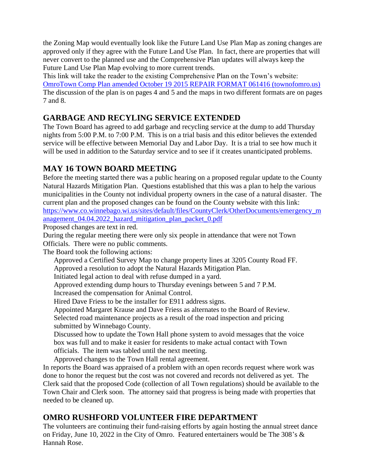the Zoning Map would eventually look like the Future Land Use Plan Map as zoning changes are approved only if they agree with the Future Land Use Plan. In fact, there are properties that will never convert to the planned use and the Comprehensive Plan updates will always keep the Future Land Use Plan Map evolving to more current trends.

This link will take the reader to the existing Comprehensive Plan on the Town's website: [OmroTown Comp Plan amended October 19 2015 REPAIR FORMAT 061416 \(townofomro.us\)](https://www.townofomro.us/uploads/1/3/4/2/13425404/town_of_omro_comprehensive_plan_as_adopted_october_2015.pdf) The discussion of the plan is on pages 4 and 5 and the maps in two different formats are on pages 7 and 8.

## **GARBAGE AND RECYLING SERVICE EXTENDED**

The Town Board has agreed to add garbage and recycling service at the dump to add Thursday nights from 5:00 P.M. to 7:00 P.M. This is on a trial basis and this editor believes the extended service will be effective between Memorial Day and Labor Day. It is a trial to see how much it will be used in addition to the Saturday service and to see if it creates unanticipated problems.

## **MAY 16 TOWN BOARD MEETING**

Before the meeting started there was a public hearing on a proposed regular update to the County Natural Hazards Mitigation Plan. Questions established that this was a plan to help the various municipalities in the County not individual property owners in the case of a natural disaster. The current plan and the proposed changes can be found on the County website with this link: [https://www.co.winnebago.wi.us/sites/default/files/CountyClerk/OtherDocuments/emergency\\_m](https://www.co.winnebago.wi.us/sites/default/files/CountyClerk/OtherDocuments/emergency_management_04.04.2022_hazard_mitigation_plan_packet_0.pdf) [anagement\\_04.04.2022\\_hazard\\_mitigation\\_plan\\_packet\\_0.pdf](https://www.co.winnebago.wi.us/sites/default/files/CountyClerk/OtherDocuments/emergency_management_04.04.2022_hazard_mitigation_plan_packet_0.pdf)

Proposed changes are text in red.

During the regular meeting there were only six people in attendance that were not Town Officials. There were no public comments.

The Board took the following actions:

Approved a Certified Survey Map to change property lines at 3205 County Road FF. Approved a resolution to adopt the Natural Hazards Mitigation Plan.

Initiated legal action to deal with refuse dumped in a yard.

Approved extending dump hours to Thursday evenings between 5 and 7 P.M.

Increased the compensation for Animal Control.

Hired Dave Friess to be the installer for E911 address signs.

Appointed Margaret Krause and Dave Friess as alternates to the Board of Review.

Selected road maintenance projects as a result of the road inspection and pricing submitted by Winnebago County.

Discussed how to update the Town Hall phone system to avoid messages that the voice box was full and to make it easier for residents to make actual contact with Town officials. The item was tabled until the next meeting.

Approved changes to the Town Hall rental agreement.

In reports the Board was appraised of a problem with an open records request where work was done to honor the request but the cost was not covered and records not delivered as yet. The Clerk said that the proposed Code (collection of all Town regulations) should be available to the Town Chair and Clerk soon. The attorney said that progress is being made with properties that needed to be cleaned up.

## **OMRO RUSHFORD VOLUNTEER FIRE DEPARTMENT**

The volunteers are continuing their fund-raising efforts by again hosting the annual street dance on Friday, June 10, 2022 in the City of Omro. Featured entertainers would be The 308's & Hannah Rose.